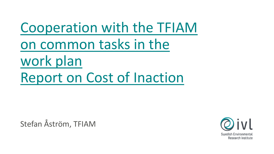Cooperation with the TFIAM on common tasks in the work plan Report on Cost of Inaction

Stefan Åström, TFIAM

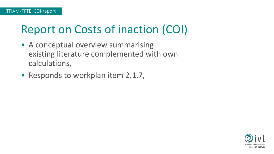# Report on Costs of inaction (COI)

- A conceptual overview summarising existing literature complemented with own calculations,
- Responds to workplan item 2.1.7,

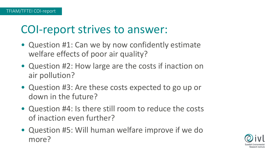## COI-report strives to answer:

- Question #1: Can we by now confidently estimate welfare effects of poor air quality?
- Question #2: How large are the costs if inaction on air pollution?
- Question #3: Are these costs expected to go up or down in the future?
- Question #4: Is there still room to reduce the costs of inaction even further?
- Question #5: Will human welfare improve if we do more?

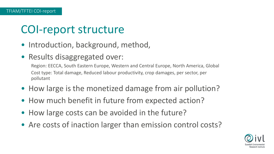## COI-report structure

- Introduction, background, method,
- Results disaggregated over:

Region: EECCA, South Eastern Europe, Western and Central Europe, North America, Global Cost type: Total damage, Reduced labour productivity, crop damages, per sector, per pollutant

- How large is the monetized damage from air pollution?
- How much benefit in future from expected action?
- How large costs can be avoided in the future?
- Are costs of inaction larger than emission control costs?

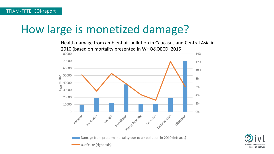## How large is monetized damage?

Health damage from ambient air pollution in Caucasus and Central Asia in 2010 (based on mortality presented in WHO&OECD, 201580000 14% 70000 12% 60000



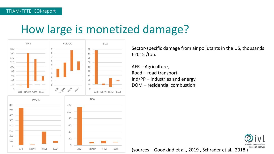## How large is monetized damage?



Sector-specific damage from air pollutants in the US, thousands €2015 /ton.

AFR – Agriculture, Road – road transport, Ind/PP – industries and energy, DOM – residential combustion



(sources – Goodkind et al., 2019 , Schrader et al., 2018 )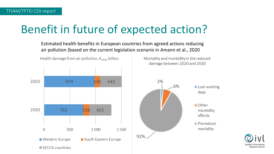# Benefit in future of expected action?

Estimated health benefits in European countries from agreed actions reducing air pollution (based on the current legislation scenario in Amann et al., 2020



Health damage from air pollution,  $\epsilon_{2015}$  billion

 $\blacksquare$  EECCA countries

Mortality and morbidity in the reduced damage between 2020 and 2030



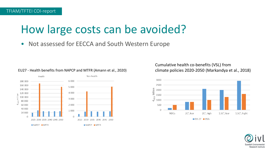## How large costs can be avoided?

Not assessed for EECCA and South Western Europe



#### EU27 - Health benefits from NAPCP and MTFR (Amann et al., 2020)

Cumulative health co-benefits (VSL) from climate policies 2020-2050 (Markandya et al., 2018)



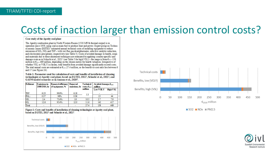#### Costs of inaction larger than emission control costs?

#### Case study of the Apatity coal plant

The Apatity combustion plant in North-Western Russia (1530 MWth thermal output) is in operation since 1959, using coal as main fuel to produce heat and power. Expert group on Technoeconomic Issues (EGTEI)<sup>i</sup> estimated annual technical costs of installing equipment to reduce emissions of  $SO_2$ ,  $NO_x$  and  $TSP$  – with wet flue gas desulphurisator, selective catalytic reduction, and electrostatic precipitator, respectively (see Table 5). Costs of avoided damage to health, crops and materials due to these abatement techniques are estimated by applying country-specific unit damage costs as in Schucht et al., 2021<sup>2</sup> (see Table 5 for high VSL) - the range is from  $\epsilon_{2015}$  158 million to  $\epsilon_{2015}$  469 million, depending on the chosen metric for health valuation. Irrespective of whether VSL or VOLY is chosen, total benefits from avoided damage significantly exceed costs. The total annual costs are estimated at  $\epsilon_{2013}$ , 27.4 million, so the benefit-to-cost ratio lies between 6 and 17 (see Figure 24).

Table 1: Parameters used for calculation of costs and benefits of installation of cleaning technologies at Apatity coal plant, based on EGTEI, 2011<sup>1</sup>, Schucht et al., 2021<sup>2</sup>, and GAINS model scenarios as in Amann et al., 2020<sup>3</sup>.

| Pollutant       | E missions in<br>2008/2010, kt | <b>Removal efficiency</b> Removed<br>of equipment, % | emissions, kt | <b>Technical</b><br>$costs$ , $\epsilon_{\text{mis}}$ | Avoided damage, $\epsilon_{2015}$<br>million |                 |
|-----------------|--------------------------------|------------------------------------------------------|---------------|-------------------------------------------------------|----------------------------------------------|-----------------|
|                 |                                |                                                      |               | million                                               | Low VOLY                                     | <b>High VSL</b> |
| <b>TSP</b>      | 6.23                           | 99.9%                                                | 6.18          | 5.3                                                   |                                              |                 |
| $PM_{25}$       | 0.37                           | 96%                                                  | 0.36          |                                                       | 13                                           |                 |
| NO.             | 2.4                            | 75.4%                                                | 1.8           | 10.5                                                  | າາ                                           | 7.9             |
| SO <sub>2</sub> | 12.6                           | 95.4%                                                | 12.0          | 11.6                                                  | 142                                          | 417             |
| Total           |                                |                                                      |               | 27.4                                                  | 158                                          | 469             |

Figure 1: Costs and benefits of installation of cleaning technologies at Apatity coal plant, based on EGTEI, 2011<sup>1</sup> and Schucht et al., 2021<sup>2</sup>





 $\blacksquare$  SO2  $\blacksquare$  NO<sub>x</sub>  $\blacksquare$  PM2.5